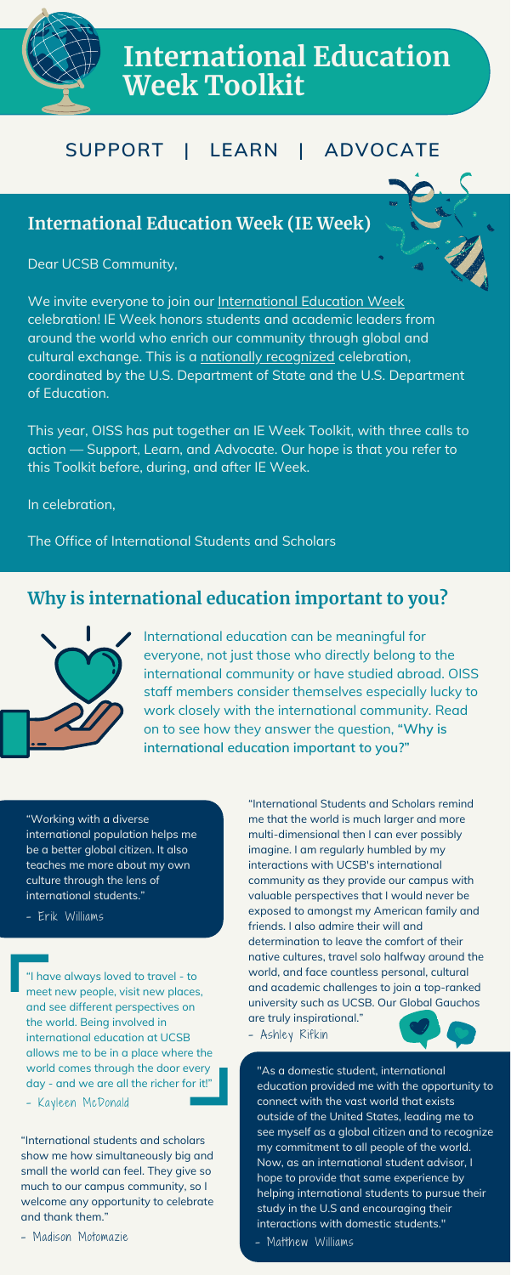Dear UCSB Community,



We invite everyone to join our [International](https://oiss.ucsb.edu/campus-engagement/international-education-week) Education Week celebration! IE Week honors students and academic leaders from around the world who enrich our community through global and cultural exchange. This is a nationally [recognized](https://iew.state.gov/) celebration, coordinated by the U.S. Department of State and the U.S. Department of Education.

This year, OISS has put together an IE Week Toolkit, with three calls to action — Support, Learn, and Advocate. Our hope is that you refer to this Toolkit before, during, and after IE Week.

In celebration,

The Office of International Students and Scholars



# **International Education Week Toolkit**

### **SUPPORT | LEARN | ADVOCATE**

#### **International Education Week (IE Week)**

#### **Why is international education important to you?**



International education can be meaningful for everyone, not just those who directly belong to the international community or have studied abroad. OISS staff members consider themselves especially lucky to work closely with the international community. Read on to see how they answer the question, **"Why is international education important to you?"**

"Working with a diverse international population helps me be a better global citizen. It also teaches me more about my own culture through the lens of international students."

- Erik Williams

**Interactions** Wit "As a domestic student, international education provided me with the opportunity to connect with the vast world that exists outside of the United States, leading me to see myself as a global citizen and to recognize my commitment to all people of the world. Now, as an international student advisor, I hope to provide that same experience by helping international students to pursue their study in the U.S and encouraging their interactions with domestic students."

- Matthew Williams

"International Students and Scholars remind me that the world is much larger and more multi-dimensional then I can ever possibly imagine. I am regularly humbled by my interactions with UCSB's international community as they provide our campus with valuable perspectives that I would never be exposed to amongst my American family and friends. I also admire their will and determination to leave the comfort of their native cultures, travel solo halfway around the world, and face countless personal, cultural and academic challenges to join a top-ranked university such as UCSB. Our Global Gauchos are truly inspirational."

- Ashley Rifkin



"I have always loved to travel - to meet new people, visit new places, and see different perspectives on the world. Being involved in international education at UCSB allows me to be in a place where the world comes through the door every day - and we are all the richer for it!"

- Kayleen McDonald

"International students and scholars show me how simultaneously big and small the world can feel. They give so much to our campus community, so I welcome any opportunity to celebrate and thank them."

- Madison Motomazie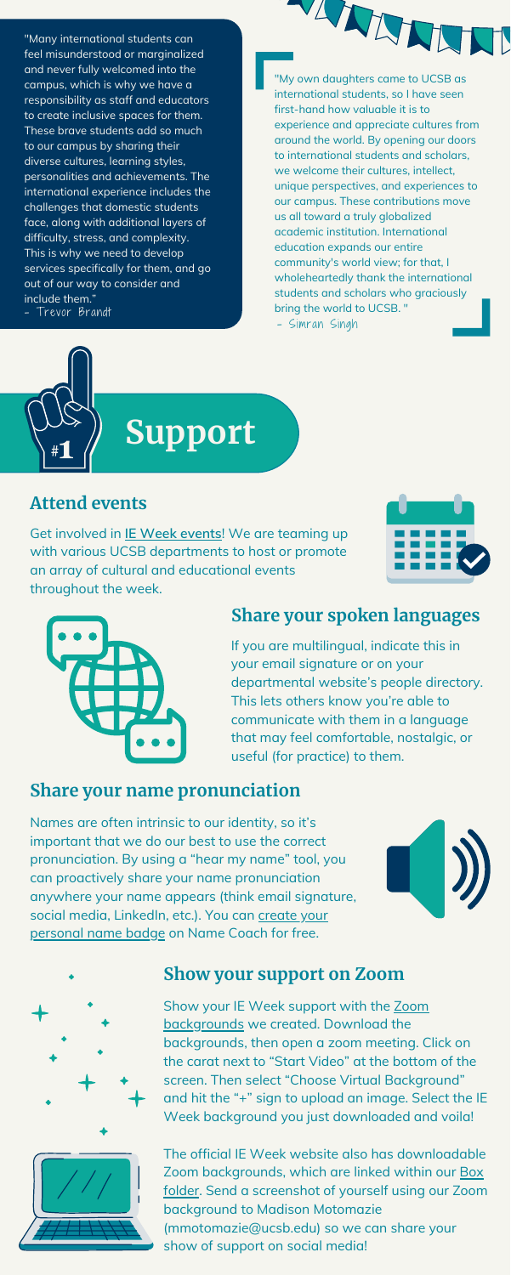"Many international students can feel misunderstood or marginalized and never fully welcomed into the campus, which is why we have a responsibility as staff and educators to create inclusive spaces for them. These brave students add so much to our campus by sharing their diverse cultures, learning styles, personalities and achievements. The international experience includes the challenges that domestic students face, along with additional layers of difficulty, stress, and complexity. This is why we need to develop services specifically for them, and go out of our way to consider and include them."

> Show your IE Week support with the Zoom [backgrounds](https://ucsb.box.com/s/ai13ae1p2c4vxhsctuicar83cs9sitmv) we created. Download the backgrounds, then open a zoom meeting. Click on the carat next to "Start Video" at the bottom of the screen. Then select "Choose Virtual Background" and hit the "+" sign to upload an image. Select the IE Week background you just downloaded and voila!



- Trevor Brandt

**Support**

#### **Attend events**

Get involved in **IE Week [events](https://oiss.ucsb.edu/programs/international-education-week)**! We are teaming up with various UCSB departments to host or promote an array of cultural and educational events throughout the week.







Names are often intrinsic to our identity, so it's important that we do our best to use the correct pronunciation. By using a "hear my name" tool, you can proactively share your name pronunciation anywhere your name appears (think email signature, social media, [LinkedIn,](https://www.name-coach.com/namebadge) etc.). You can create your personal name badge on Name Coach for free.





The official IE Week website also has downloadable Zoom [backgrounds,](https://ucsb.box.com/s/ai13ae1p2c4vxhsctuicar83cs9sitmv) which are linked within our Box folder. Send a screenshot of yourself using our Zoom background to Madison Motomazie ([mmotomazie@ucsb.edu](mailto:mmotomazie@ucsb.edu)) so we can share your show of support on social media!

#### **Share your spoken languages**

If you are multilingual, indicate th[is](https://oiss.ucsb.edu/programs/international-education-week) in your email signature or on your departmental website's people directory. This lets others know you're able to communicate with them in a language that may feel comfortable, nostalgic, or useful (for practice) to them.

### **Share your name pronunciation**

"My own daughters came to UCSB as international students, so I have seen first-hand how valuable it is to experience and appreciate cultures from around the world. By opening our doors to international students and scholars, we welcome their cultures, intellect, unique perspectives, and experiences to our campus. These contributions move us all toward a truly globalized academic institution. International education expands our entire community's world view; for that, I wholeheartedly thank the international students and scholars who graciously bring the world to UCSB. "

WANN

- Simran Singh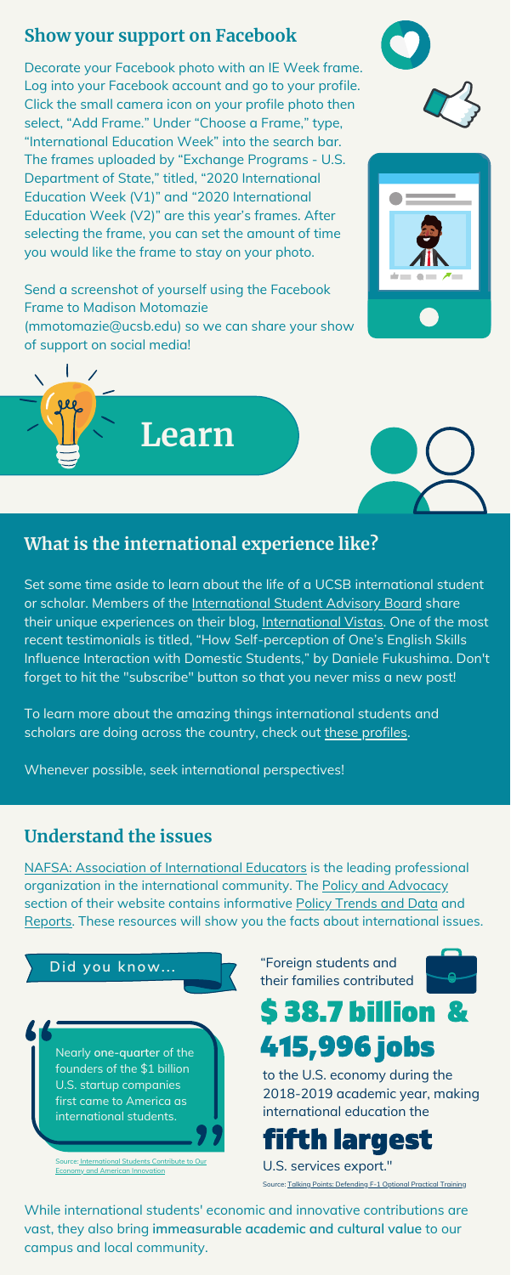Set some time aside to learn about the life of a UCSB international student or scholar. Members of the [International](https://oiss.ucsb.edu/programs/international-student-advisory-board) Student Advisory Board share their unique experiences on their blog, [International](http://internationalvistas.blogspot.com/) Vistas. One of the most recent testimonials is titled, "How Self-perception of One's English Skills Influence Interaction with Domestic Students," by Daniele Fukushima. Don't forget to hit the "subscribe" button so that you never miss a new post!

To learn more about the amazing things international students and scholars are doing across the country, check out these [profiles](https://www.nafsa.org/policy-and-advocacy/what-we-stand-for/meet-international-students).

### **What is the international experience like?**

#### **Understand the issues**

NAFSA: Association of [International](https://www.nafsa.org/policy-and-advocacy/what-we-stand-for) Educators is the leading professional organization in the international community. The Policy and [Advocacy](https://www.nafsa.org/policy-and-advocacy/policy-resources) section of their website contains informative Policy [Trends](https://www.nafsa.org/policy-and-advocacy/policy-resources/policy-trends-and-data) and Data and [Reports.](https://www.nafsa.org/policy-and-advocacy/policy-resources/policy-reports) These resources will show you the facts about international issues.

#### **Show your support on Facebook**

Decorate your Facebook photo with an IE Week frame. Log into your Facebook account and go to your profile. Click the small camera icon on your profile photo then select, "Add Frame." Under "Choose a Frame," type, "International Education Week" into the search bar. The frames uploaded by "Exchange Programs - U.S. Department of State," titled, "2020 International Education Week (V1)" and "2020 International Education Week (V2)" are this year's frames. After selecting the frame, you can set the amount of time you would like the frame to stay on your photo.

Send a screenshot of yourself using the Facebook Frame to Madison Motomazie ([mmotomazie@ucsb.edu\)](mailto:mmotomazie@ucsb.edu) so we can share your show of support on social media!







#### **Did you know...**



[Source:](https://www.nafsa.org/policy-and-advocacy/policy-resources/policy-reports) [International](https://www.nafsa.org/sites/default/files/media/document/infographic-econ-value.pdf) Students Contribute to Our Economy and American Innovation

#### "Foreign students and their families contributed



# \$ 38.7 billion & 415,996 jobs

to the U.S. economy during the 2018-2019 academic year, making international education the

# fifth largest

U.S. services export."

[Source:](https://www.nafsa.org/policy-and-advocacy/policy-resources/policy-reports) Talking Points: [Defending](https://www.nafsa.org/policy-and-advocacy/what-we-stand-for/talking-points-defending-f-1-optional-practical-training) F-1 Optional Practical Training

While international students' economic and innovative contributions are vast, they also bring **immeasurable academic and cultural value** to our campus and local community.